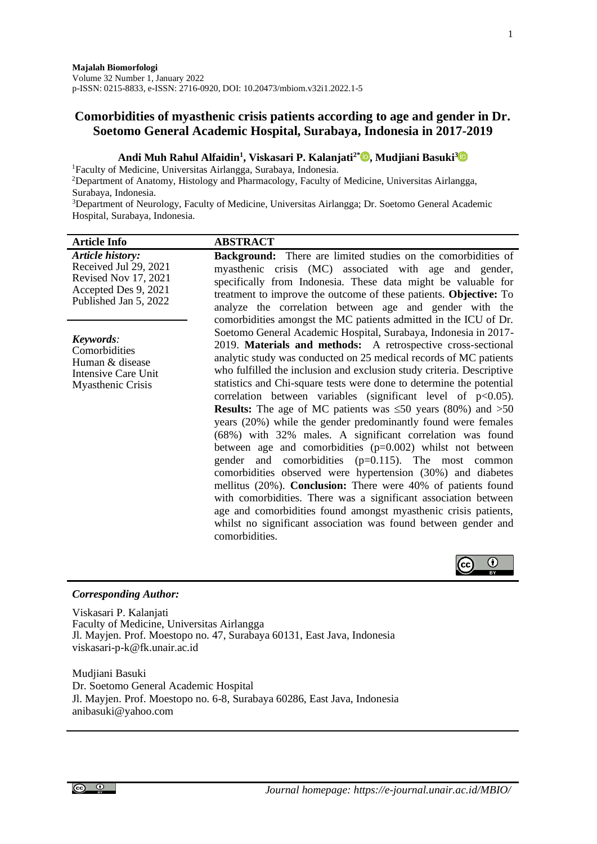# **Comorbidities of myasthenic crisis patients according to age and gender in Dr. Soetomo General Academic Hospital, Surabaya, Indonesia in 2017-2019**

# **Andi Muh Rahul Alfaidin<sup>1</sup> , Viskasari P. Kalanjati2\* [,](https://orcid.org/0000-0002-7005-0025) Mudjiani Basuki[3](https://orcid.org/0000-0002-5370-7750)**

<sup>1</sup>Faculty of Medicine, Universitas Airlangga, Surabaya, Indonesia.

<sup>2</sup>Department of Anatomy, Histology and Pharmacology, Faculty of Medicine, Universitas Airlangga, Surabaya, Indonesia.

<sup>3</sup>Department of Neurology, Faculty of Medicine, Universitas Airlangga; Dr. Soetomo General Academic Hospital, Surabaya, Indonesia.

| <b>Article Info</b>                                                                                                       | <b>ABSTRACT</b>                                                                                                                                                                                                                                                                                                                                                                                                                                                                                                                                                                                                                                                                                                                                                                                                                                                                                                                                                                                                                                                                                                          |
|---------------------------------------------------------------------------------------------------------------------------|--------------------------------------------------------------------------------------------------------------------------------------------------------------------------------------------------------------------------------------------------------------------------------------------------------------------------------------------------------------------------------------------------------------------------------------------------------------------------------------------------------------------------------------------------------------------------------------------------------------------------------------------------------------------------------------------------------------------------------------------------------------------------------------------------------------------------------------------------------------------------------------------------------------------------------------------------------------------------------------------------------------------------------------------------------------------------------------------------------------------------|
| <b>Article history:</b><br>Received Jul 29, 2021<br>Revised Nov 17, 2021<br>Accepted Des 9, 2021<br>Published Jan 5, 2022 | <b>Background:</b> There are limited studies on the comorbidities of<br>myasthenic crisis (MC) associated with age and gender,<br>specifically from Indonesia. These data might be valuable for<br>treatment to improve the outcome of these patients. Objective: To<br>analyze the correlation between age and gender with the<br>comorbidities amongst the MC patients admitted in the ICU of Dr.                                                                                                                                                                                                                                                                                                                                                                                                                                                                                                                                                                                                                                                                                                                      |
| Keywords:<br>Comorbidities<br>Human & disease<br>Intensive Care Unit<br>Myasthenic Crisis                                 | Soetomo General Academic Hospital, Surabaya, Indonesia in 2017-<br>2019. Materials and methods: A retrospective cross-sectional<br>analytic study was conducted on 25 medical records of MC patients<br>who fulfilled the inclusion and exclusion study criteria. Descriptive<br>statistics and Chi-square tests were done to determine the potential<br>correlation between variables (significant level of $p<0.05$ ).<br><b>Results:</b> The age of MC patients was $\leq 50$ years (80%) and $> 50$<br>years (20%) while the gender predominantly found were females<br>(68%) with 32% males. A significant correlation was found<br>between age and comorbidities $(p=0.002)$ whilst not between<br>gender and comorbidities $(p=0.115)$ . The most common<br>comorbidities observed were hypertension (30%) and diabetes<br>mellitus (20%). Conclusion: There were 40% of patients found<br>with comorbidities. There was a significant association between<br>age and comorbidities found amongst myasthenic crisis patients,<br>whilst no significant association was found between gender and<br>comorbidities. |



# *Corresponding Author:*

Viskasari P. Kalanjati Faculty of Medicine, Universitas Airlangga Jl. Mayjen. Prof. Moestopo no. 47, Surabaya 60131, East Java, Indonesia viskasari-p-k@fk.unair.ac.id

Mudjiani Basuki Dr. Soetomo General Academic Hospital Jl. Mayjen. Prof. Moestopo no. 6-8, Surabaya 60286, East Java, Indonesia anibasuki@yahoo.com

 $\odot$   $\odot$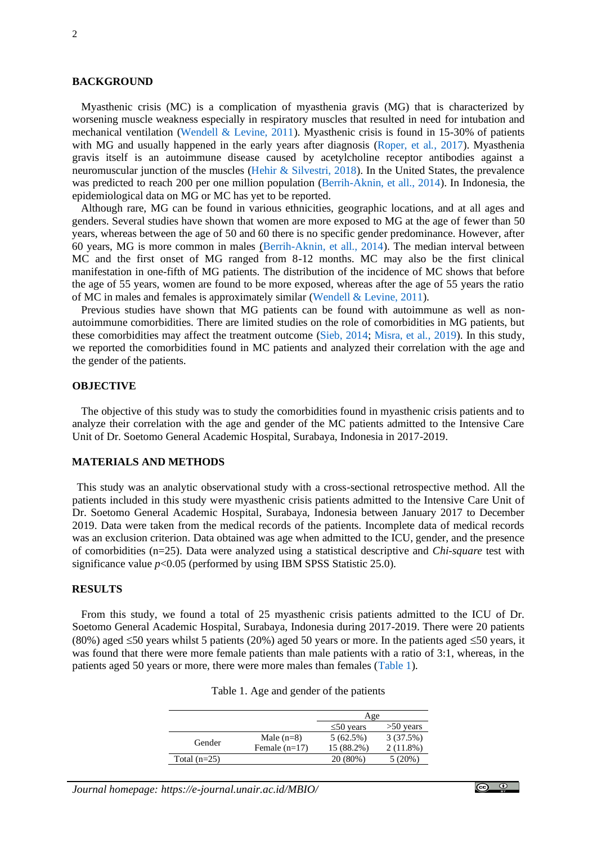#### **BACKGROUND**

Myasthenic crisis (MC) is a complication of myasthenia gravis (MG) that is characterized by worsening muscle weakness especially in respiratory muscles that resulted in need for intubation and mechanical ventilation [\(Wendell & Levine, 2011\)](#page-4-0). Myasthenic crisis is found in 15-30% of patients with MG and usually happened in the early years after diagnosis [\(Roper, et al](#page-4-1)*.*, 2017). Myasthenia gravis itself is an autoimmune disease caused by acetylcholine receptor antibodies against a neuromuscular junction of the muscles [\(Hehir & Silvestri, 2018\)](#page-3-0). In the United States, the prevalence was predicted to reach 200 per one million population [\(Berrih-Aknin, et all., 2014\)](#page-3-1). In Indonesia, the epidemiological data on MG or MC has yet to be reported.

Although rare, MG can be found in various ethnicities, geographic locations, and at all ages and genders. Several studies have shown that women are more exposed to MG at the age of fewer than 50 years, whereas between the age of 50 and 60 there is no specific gender predominance. However, after 60 years, MG is more common in males [\(Berrih-Aknin, et all., 2014\)](#page-3-1). The median interval between MC and the first onset of MG ranged from 8-12 months. MC may also be the first clinical manifestation in one-fifth of MG patients. The distribution of the incidence of MC shows that before the age of 55 years, women are found to be more exposed, whereas after the age of 55 years the ratio of MC in males and females is approximately similar [\(Wendell & Levine, 2011\)](#page-4-0).

Previous studies have shown that MG patients can be found with autoimmune as well as nonautoimmune comorbidities. There are limited studies on the role of comorbidities in MG patients, but these comorbidities may affect the treatment outcome [\(Sieb, 2014;](#page-4-2) [Misra, et al](#page-4-3)*.*, 2019). In this study, we reported the comorbidities found in MC patients and analyzed their correlation with the age and the gender of the patients.

### **OBJECTIVE**

The objective of this study was to study the comorbidities found in myasthenic crisis patients and to analyze their correlation with the age and gender of the MC patients admitted to the Intensive Care Unit of Dr. Soetomo General Academic Hospital, Surabaya, Indonesia in 2017-2019.

#### **MATERIALS AND METHODS**

This study was an analytic observational study with a cross-sectional retrospective method. All the patients included in this study were myasthenic crisis patients admitted to the Intensive Care Unit of Dr. Soetomo General Academic Hospital, Surabaya, Indonesia between January 2017 to December 2019. Data were taken from the medical records of the patients. Incomplete data of medical records was an exclusion criterion. Data obtained was age when admitted to the ICU, gender, and the presence of comorbidities (n=25). Data were analyzed using a statistical descriptive and *Chi-square* test with significance value  $p<0.05$  (performed by using IBM SPSS Statistic 25.0).

### **RESULTS**

<span id="page-1-0"></span>From this study, we found a total of 25 myasthenic crisis patients admitted to the ICU of Dr. Soetomo General Academic Hospital, Surabaya, Indonesia during 2017-2019. There were 20 patients (80%) aged  $\leq$ 50 years whilst 5 patients (20%) aged 50 years or more. In the patients aged  $\leq$ 50 years, it was found that there were more female patients than male patients with a ratio of 3:1, whereas, in the patients aged 50 years or more, there were more males than females [\(Table 1\)](#page-1-0).

|                |                 | Age             |             |
|----------------|-----------------|-----------------|-------------|
|                |                 | $\leq 50$ years | $>50$ years |
| Gender         | Male $(n=8)$    | 5(62.5%)        | 3(37.5%)    |
|                | Female $(n=17)$ | 15 (88.2%)      | $2(11.8\%)$ |
| Total $(n=25)$ |                 | 20 (80%)        | 5 (20%)     |

|  | Table 1. Age and gender of the patients |  |  |  |
|--|-----------------------------------------|--|--|--|
|--|-----------------------------------------|--|--|--|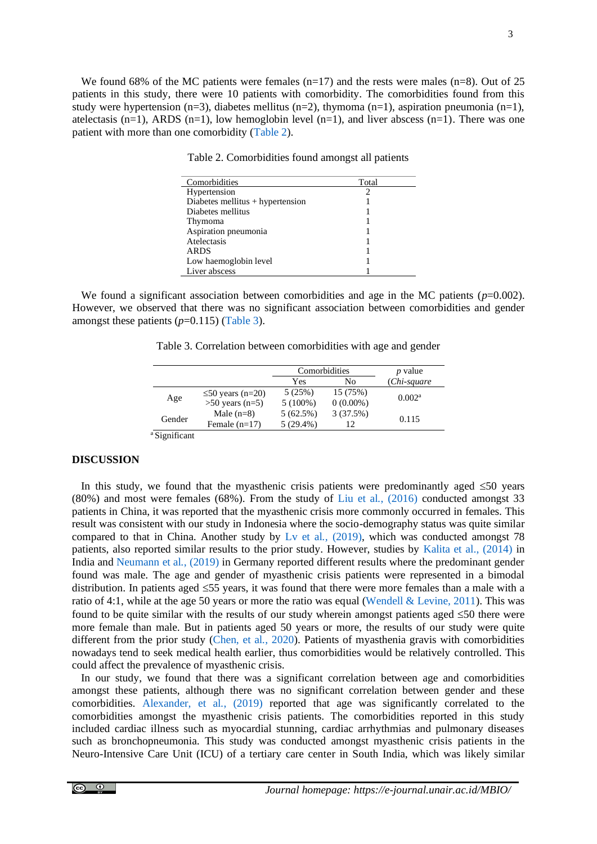<span id="page-2-0"></span>We found 68% of the MC patients were females  $(n=17)$  and the rests were males  $(n=8)$ . Out of 25 patients in this study, there were 10 patients with comorbidity. The comorbidities found from this study were hypertension (n=3), diabetes mellitus (n=2), thymoma (n=1), aspiration pneumonia (n=1), atelectasis  $(n=1)$ , ARDS  $(n=1)$ , low hemoglobin level  $(n=1)$ , and liver abscess  $(n=1)$ . There was one patient with more than one comorbidity [\(Table 2\)](#page-2-0).

Table 2. Comorbidities found amongst all patients

| Comorbidities                      | Total |
|------------------------------------|-------|
| Hypertension                       |       |
| Diabetes mellitus $+$ hypertension |       |
| Diabetes mellitus                  |       |
| Thymoma                            |       |
| Aspiration pneumonia               |       |
| Atelectasis                        |       |
| <b>ARDS</b>                        |       |
| Low haemoglobin level              |       |
| Liver abscess                      |       |

<span id="page-2-1"></span>We found a significant association between comorbidities and age in the MC patients  $(p=0.002)$ . However, we observed that there was no significant association between comorbidities and gender amongst these patients (*p*=0.115) [\(Table 3\)](#page-2-1).

Table 3. Correlation between comorbidities with age and gender

|        |                        | Comorbidities |             | <i>p</i> value     |
|--------|------------------------|---------------|-------------|--------------------|
|        |                        | Yes           | No          | (Chi-square)       |
| Age    | $\leq$ 50 years (n=20) | 5(25%)        | 15 (75%)    | 0.002 <sup>a</sup> |
|        | $>50$ years (n=5)      | $5(100\%)$    | $0(0.00\%)$ |                    |
| Gender | Male $(n=8)$           | 5(62.5%)      | 3(37.5%)    | 0.115              |
|        | Female $(n=17)$        | $5(29.4\%)$   |             |                    |

<sup>a</sup> Significant

### **DISCUSSION**

In this study, we found that the myasthenic crisis patients were predominantly aged  $\leq 50$  years (80%) and most were females (68%). From the study of [Liu et al](#page-4-4)*.*, (2016) conducted amongst 33 patients in China, it was reported that the myasthenic crisis more commonly occurred in females. This result was consistent with our study in Indonesia where the socio-demography status was quite similar compared to that in China. Another study by [Lv et al](#page-4-5)*.,* (2019), which was conducted amongst 78 patients, also reported similar results to the prior study. However, studies by [Kalita et al., \(2014\)](#page-3-2) in India and [Neumann et al](#page-4-6)*.*, (2019) in Germany reported different results where the predominant gender found was male. The age and gender of myasthenic crisis patients were represented in a bimodal distribution. In patients aged  $\leq$ 55 years, it was found that there were more females than a male with a ratio of 4:1, while at the age 50 years or more the ratio was equal [\(Wendell & Levine, 2011\)](#page-4-0). This was found to be quite similar with the results of our study wherein amongst patients aged  $\leq 50$  there were more female than male. But in patients aged 50 years or more, the results of our study were quite different from the prior study (Chen, et al*.*[, 2020\)](#page-3-3). Patients of myasthenia gravis with comorbidities nowadays tend to seek medical health earlier, thus comorbidities would be relatively controlled. This could affect the prevalence of myasthenic crisis.

In our study, we found that there was a significant correlation between age and comorbidities amongst these patients, although there was no significant correlation between gender and these comorbidities. [Alexander, et al](#page-3-4)., (2019) reported that age was significantly correlated to the comorbidities amongst the myasthenic crisis patients. The comorbidities reported in this study included cardiac illness such as myocardial stunning, cardiac arrhythmias and pulmonary diseases such as bronchopneumonia. This study was conducted amongst myasthenic crisis patients in the Neuro-Intensive Care Unit (ICU) of a tertiary care center in South India, which was likely similar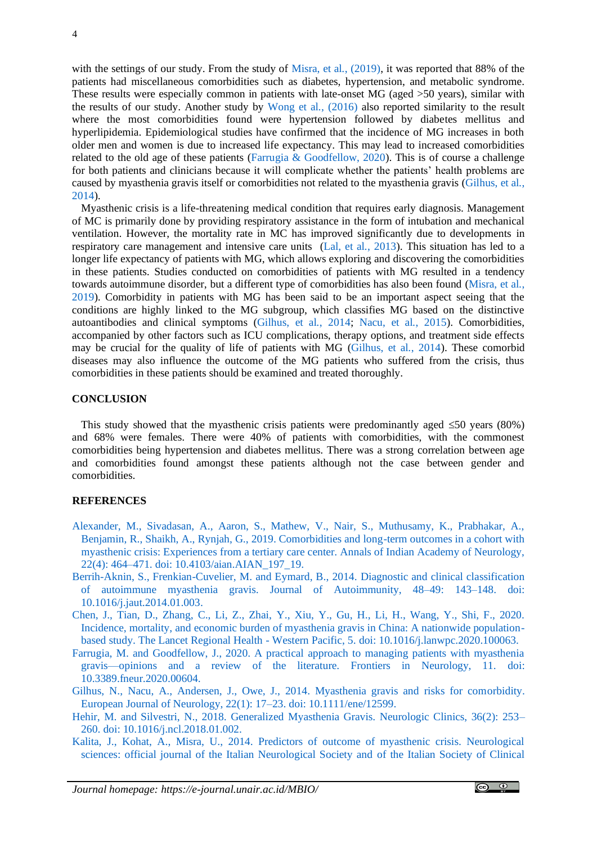with the settings of our study. From the study of [Misra, et al](#page-4-3)*.*, (2019), it was reported that 88% of the patients had miscellaneous comorbidities such as diabetes, hypertension, and metabolic syndrome. These results were especially common in patients with late-onset MG (aged >50 years), similar with the results of our study. Another study by [Wong et al](#page-4-7)*.*, (2016) also reported similarity to the result where the most comorbidities found were hypertension followed by diabetes mellitus and hyperlipidemia. Epidemiological studies have confirmed that the incidence of MG increases in both older men and women is due to increased life expectancy. This may lead to increased comorbidities related to the old age of these patients [\(Farrugia & Goodfellow, 2020\)](#page-3-5). This is of course a challenge for both patients and clinicians because it will complicate whether the patients' health problems are caused by myasthenia gravis itself or comorbidities not related to the myasthenia gravis [\(Gilhus, et al](#page-3-6)*.*, [2014\)](#page-3-6).

Myasthenic crisis is a life-threatening medical condition that requires early diagnosis. Management of MC is primarily done by providing respiratory assistance in the form of intubation and mechanical ventilation. However, the mortality rate in MC has improved significantly due to developments in respiratory care management and intensive care units [\(Lal, et al](#page-4-8)*.*, 2013). This situation has led to a longer life expectancy of patients with MG, which allows exploring and discovering the comorbidities in these patients. Studies conducted on comorbidities of patients with MG resulted in a tendency towards autoimmune disorder, but a different type of comorbidities has also been found [\(Misra, et al](#page-4-3)*.*, [2019\)](#page-4-3). Comorbidity in patients with MG has been said to be an important aspect seeing that the conditions are highly linked to the MG subgroup, which classifies MG based on the distinctive autoantibodies and clinical symptoms [\(Gilhus, et al](#page-3-6)*.*, 2014; [Nacu, et al](#page-4-9)*.*, 2015). Comorbidities, accompanied by other factors such as ICU complications, therapy options, and treatment side effects may be crucial for the quality of life of patients with MG [\(Gilhus, et al](#page-3-6)*.*, 2014). These comorbid diseases may also influence the outcome of the MG patients who suffered from the crisis, thus comorbidities in these patients should be examined and treated thoroughly.

#### **CONCLUSION**

This study showed that the myasthenic crisis patients were predominantly aged  $\leq 50$  years (80%) and 68% were females. There were 40% of patients with comorbidities, with the commonest comorbidities being hypertension and diabetes mellitus. There was a strong correlation between age and comorbidities found amongst these patients although not the case between gender and comorbidities.

### **REFERENCES**

- <span id="page-3-4"></span>[Alexander, M., Sivadasan, A., Aaron, S., Mathew, V., Nair, S., Muthusamy, K., Prabhakar, A.,](https://pubmed.ncbi.nlm.nih.gov/31736571/)  [Benjamin, R., Shaikh, A., Rynjah, G., 2019. Comorbidities and long-term outcomes in a cohort with](https://pubmed.ncbi.nlm.nih.gov/31736571/)  myasthenic [crisis: Experiences from a tertiary care center. Annals of Indian Academy of Neurology,](https://pubmed.ncbi.nlm.nih.gov/31736571/)  22(4): 464–471. doi: [10.4103/aian.AIAN\\_197\\_19.](https://pubmed.ncbi.nlm.nih.gov/31736571/)
- <span id="page-3-1"></span>[Berrih-Aknin, S., Frenkian-Cuvelier, M. and Eymard, B.,](https://pubmed.ncbi.nlm.nih.gov/24530233/) 2014. Diagnostic and clinical classification [of autoimmune myasthenia gravis. Journal of Autoimmunity, 48–49: 143–148.](https://pubmed.ncbi.nlm.nih.gov/24530233/) doi: [10.1016/j.jaut.2014.01.003.](https://pubmed.ncbi.nlm.nih.gov/24530233/)
- <span id="page-3-3"></span>Chen, J., Tian, D., Zhang, C., Li, Z., Zhai, Y., [Xiu, Y., Gu, H., Li, H., Wang, Y., Shi, F., 2020.](https://pubmed.ncbi.nlm.nih.gov/34327399/)  [Incidence, mortality, and economic burden of myasthenia gravis in China: A nationwide population](https://pubmed.ncbi.nlm.nih.gov/34327399/)[based study. The Lancet Regional Health -](https://pubmed.ncbi.nlm.nih.gov/34327399/) Western Pacific, 5. doi: 10.1016/j.lanwpc.2020.100063.
- <span id="page-3-5"></span>[Farrugia, M. and Goodfellow, J., 2020. A practical approach to managing patients with myasthenia](https://pubmed.ncbi.nlm.nih.gov/32733360/)  [gravis—opinions and a review of the literature. Frontiers in Neurology, 11.](https://pubmed.ncbi.nlm.nih.gov/32733360/) doi: [10.3389.fneur.2020.00604.](https://pubmed.ncbi.nlm.nih.gov/32733360/)
- <span id="page-3-6"></span>[Gilhus, N., Nacu, A., Andersen, J., Owe, J., 2014. Myasthenia gravis and risks for comorbidity.](https://onlinelibrary.wiley.com/doi/abs/10.1111/ene.12599)  [European Journal of Neurology, 22\(1\): 17–23.](https://onlinelibrary.wiley.com/doi/abs/10.1111/ene.12599) doi: 10.1111/ene/12599.
- <span id="page-3-0"></span>[Hehir, M. and Silvestri, N., 2018. Generalized Myasthenia Gravis. Neurologic Clinics, 36\(2\): 253–](https://pubmed.ncbi.nlm.nih.gov/29655448/) 260. [doi: 10.1016/j.ncl.2018.01.002.](https://pubmed.ncbi.nlm.nih.gov/29655448/)
- <span id="page-3-2"></span>Kalita, [J., Kohat, A., Misra, U., 2014. Predictors of outcome of myasthenic crisis. Neurological](https://link.springer.com/article/10.1007%2Fs10072-014-1659-y)  [sciences: official journal of the Italian Neurological Society and](https://link.springer.com/article/10.1007%2Fs10072-014-1659-y) of the Italian Society of Clinical